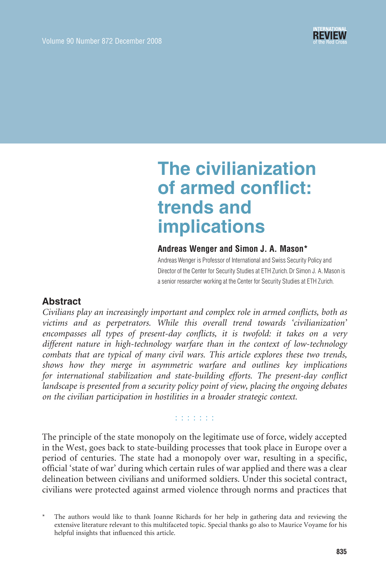# The civilianization of armed conflict: trends and implications

### Andreas Wenger and Simon J. A. Mason\*

Andreas Wenger is Professor of International and Swiss Security Policy and Director of the Center for Security Studies at ETH Zurich. Dr Simon J. A.Mason is a senior researcher working at the Center for Security Studies at ETH Zurich.

## **Abstract**

Civilians play an increasingly important and complex role in armed conflicts, both as victims and as perpetrators. While this overall trend towards 'civilianization' encompasses all types of present-day conflicts, it is twofold: it takes on a very different nature in high-technology warfare than in the context of low-technology combats that are typical of many civil wars. This article explores these two trends, shows how they merge in asymmetric warfare and outlines key implications for international stabilization and state-building efforts. The present-day conflict landscape is presented from a security policy point of view, placing the ongoing debates on the civilian participation in hostilities in a broader strategic context.

#### nn nn nn n

The principle of the state monopoly on the legitimate use of force, widely accepted in the West, goes back to state-building processes that took place in Europe over a period of centuries. The state had a monopoly over war, resulting in a specific, official 'state of war' during which certain rules of war applied and there was a clear delineation between civilians and uniformed soldiers. Under this societal contract, civilians were protected against armed violence through norms and practices that

The authors would like to thank Joanne Richards for her help in gathering data and reviewing the extensive literature relevant to this multifaceted topic. Special thanks go also to Maurice Voyame for his helpful insights that influenced this article.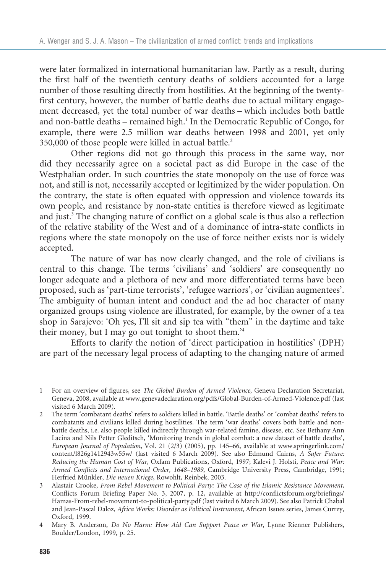were later formalized in international humanitarian law. Partly as a result, during the first half of the twentieth century deaths of soldiers accounted for a large number of those resulting directly from hostilities. At the beginning of the twentyfirst century, however, the number of battle deaths due to actual military engagement decreased, yet the total number of war deaths – which includes both battle and non-battle deaths – remained high.<sup>1</sup> In the Democratic Republic of Congo, for example, there were 2.5 million war deaths between 1998 and 2001, yet only 350,000 of those people were killed in actual battle.2

Other regions did not go through this process in the same way, nor did they necessarily agree on a societal pact as did Europe in the case of the Westphalian order. In such countries the state monopoly on the use of force was not, and still is not, necessarily accepted or legitimized by the wider population. On the contrary, the state is often equated with oppression and violence towards its own people, and resistance by non-state entities is therefore viewed as legitimate and just.3 The changing nature of conflict on a global scale is thus also a reflection of the relative stability of the West and of a dominance of intra-state conflicts in regions where the state monopoly on the use of force neither exists nor is widely accepted.

The nature of war has now clearly changed, and the role of civilians is central to this change. The terms 'civilians' and 'soldiers' are consequently no longer adequate and a plethora of new and more differentiated terms have been proposed, such as 'part-time terrorists', 'refugee warriors', or 'civilian augmentees'. The ambiguity of human intent and conduct and the ad hoc character of many organized groups using violence are illustrated, for example, by the owner of a tea shop in Sarajevo: 'Oh yes, I'll sit and sip tea with "them" in the daytime and take their money, but I may go out tonight to shoot them.'4

Efforts to clarify the notion of 'direct participation in hostilities' (DPH) are part of the necessary legal process of adapting to the changing nature of armed

<sup>1</sup> For an overview of figures, see The Global Burden of Armed Violence, Geneva Declaration Secretariat, Geneva, 2008, available at www.genevadeclaration.org/pdfs/Global-Burden-of-Armed-Violence.pdf (last visited 6 March 2009).

<sup>2</sup> The term 'combatant deaths' refers to soldiers killed in battle. 'Battle deaths' or 'combat deaths' refers to combatants and civilians killed during hostilities. The term 'war deaths' covers both battle and nonbattle deaths, i.e. also people killed indirectly through war-related famine, disease, etc. See Bethany Ann Lacina and Nils Petter Gleditsch, 'Monitoring trends in global combat: a new dataset of battle deaths', European Journal of Population, Vol. 21 (2/3) (2005), pp. 145–66, available at www.springerlink.com/ content/l826g1412943w55w/ (last visited 6 March 2009). See also Edmund Cairns, A Safer Future: Reducing the Human Cost of War, Oxfam Publications, Oxford, 1997; Kalevi J. Holsti, Peace and War: Armed Conflicts and International Order, 1648–1989, Cambridge University Press, Cambridge, 1991; Herfried Münkler, Die neuen Kriege, Rowohlt, Reinbek, 2003.

<sup>3</sup> Alastair Crooke, From Rebel Movement to Political Party: The Case of the Islamic Resistance Movement, Conflicts Forum Briefing Paper No. 3, 2007, p. 12, available at http://conflictsforum.org/briefings/ Hamas-From-rebel-movement-to-political-party.pdf (last visited 6 March 2009). See also Patrick Chabal and Jean-Pascal Daloz, Africa Works: Disorder as Political Instrument, African Issues series, James Currey, Oxford, 1999.

<sup>4</sup> Mary B. Anderson, Do No Harm: How Aid Can Support Peace or War, Lynne Rienner Publishers, Boulder/London, 1999, p. 25.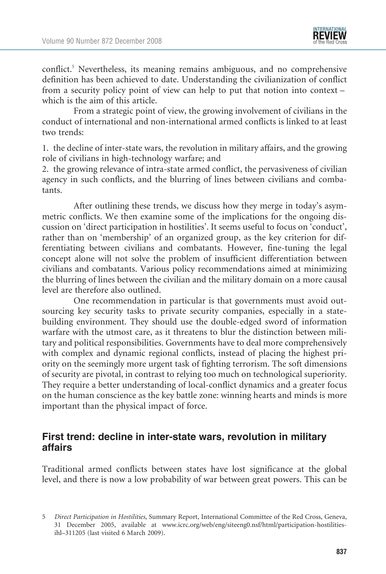

conflict. $5$  Nevertheless, its meaning remains ambiguous, and no comprehensive definition has been achieved to date. Understanding the civilianization of conflict from a security policy point of view can help to put that notion into context – which is the aim of this article.

From a strategic point of view, the growing involvement of civilians in the conduct of international and non-international armed conflicts is linked to at least two trends:

1. the decline of inter-state wars, the revolution in military affairs, and the growing role of civilians in high-technology warfare; and

2. the growing relevance of intra-state armed conflict, the pervasiveness of civilian agency in such conflicts, and the blurring of lines between civilians and combatants.

After outlining these trends, we discuss how they merge in today's asymmetric conflicts. We then examine some of the implications for the ongoing discussion on 'direct participation in hostilities'. It seems useful to focus on 'conduct', rather than on 'membership' of an organized group, as the key criterion for differentiating between civilians and combatants. However, fine-tuning the legal concept alone will not solve the problem of insufficient differentiation between civilians and combatants. Various policy recommendations aimed at minimizing the blurring of lines between the civilian and the military domain on a more causal level are therefore also outlined.

One recommendation in particular is that governments must avoid outsourcing key security tasks to private security companies, especially in a statebuilding environment. They should use the double-edged sword of information warfare with the utmost care, as it threatens to blur the distinction between military and political responsibilities. Governments have to deal more comprehensively with complex and dynamic regional conflicts, instead of placing the highest priority on the seemingly more urgent task of fighting terrorism. The soft dimensions of security are pivotal, in contrast to relying too much on technological superiority. They require a better understanding of local-conflict dynamics and a greater focus on the human conscience as the key battle zone: winning hearts and minds is more important than the physical impact of force.

## First trend: decline in inter-state wars, revolution in military affairs

Traditional armed conflicts between states have lost significance at the global level, and there is now a low probability of war between great powers. This can be

<sup>5</sup> Direct Participation in Hostilities, Summary Report, International Committee of the Red Cross, Geneva, 31 December 2005, available at www.icrc.org/web/eng/siteeng0.nsf/html/participation-hostilitiesihl–311205 (last visited 6 March 2009).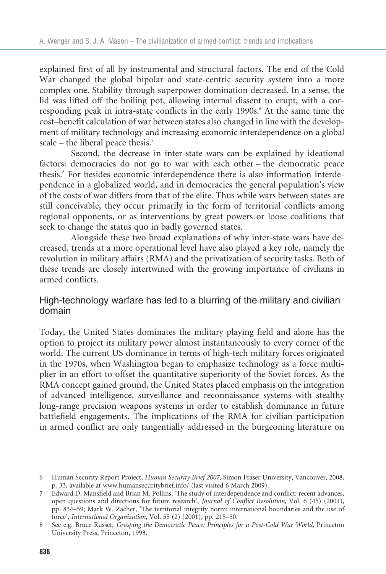explained first of all by instrumental and structural factors. The end of the Cold War changed the global bipolar and state-centric security system into a more complex one. Stability through superpower domination decreased. In a sense, the lid was lifted off the boiling pot, allowing internal dissent to erupt, with a corresponding peak in intra-state conflicts in the early 1990s.<sup>6</sup> At the same time the cost–benefit calculation of war between states also changed in line with the development of military technology and increasing economic interdependence on a global scale – the liberal peace thesis.<sup>7</sup>

Second, the decrease in inter-state wars can be explained by ideational factors: democracies do not go to war with each other – the democratic peace thesis.<sup>8</sup> For besides economic interdependence there is also information interdependence in a globalized world, and in democracies the general population's view of the costs of war differs from that of the elite. Thus while wars between states are still conceivable, they occur primarily in the form of territorial conflicts among regional opponents, or as interventions by great powers or loose coalitions that seek to change the status quo in badly governed states.

Alongside these two broad explanations of why inter-state wars have decreased, trends at a more operational level have also played a key role, namely the revolution in military affairs (RMA) and the privatization of security tasks. Both of these trends are closely intertwined with the growing importance of civilians in armed conflicts.

## High-technology warfare has led to a blurring of the military and civilian domain

Today, the United States dominates the military playing field and alone has the option to project its military power almost instantaneously to every corner of the world. The current US dominance in terms of high-tech military forces originated in the 1970s, when Washington began to emphasize technology as a force multiplier in an effort to offset the quantitative superiority of the Soviet forces. As the RMA concept gained ground, the United States placed emphasis on the integration of advanced intelligence, surveillance and reconnaissance systems with stealthy long-range precision weapons systems in order to establish dominance in future battlefield engagements. The implications of the RMA for civilian participation in armed conflict are only tangentially addressed in the burgeoning literature on

<sup>6</sup> Human Security Report Project, Human Security Brief 2007, Simon Fraser University, Vancouver, 2008, p. 33, available at www.humansecuritybrief.info/ (last visited 6 March 2009).

<sup>7</sup> Edward D. Mansfield and Brian M. Pollins, 'The study of interdependence and conflict: recent advances, open questions and directions for future research', Journal of Conflict Resolution, Vol. 6 (45) (2001), pp. 834–59; Mark W. Zacher, 'The territorial integrity norm: international boundaries and the use of force', International Organization, Vol. 55 (2) (2001), pp. 215–50.

<sup>8</sup> See e.g. Bruce Russet, Grasping the Democratic Peace: Principles for a Post-Cold War World, Princeton University Press, Princeton, 1993.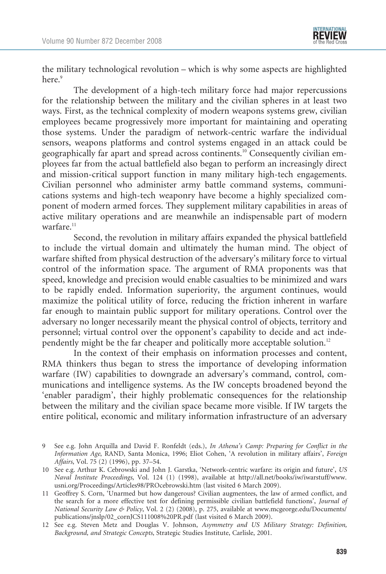the military technological revolution – which is why some aspects are highlighted here<sup>9</sup>

The development of a high-tech military force had major repercussions for the relationship between the military and the civilian spheres in at least two ways. First, as the technical complexity of modern weapons systems grew, civilian employees became progressively more important for maintaining and operating those systems. Under the paradigm of network-centric warfare the individual sensors, weapons platforms and control systems engaged in an attack could be geographically far apart and spread across continents.10 Consequently civilian employees far from the actual battlefield also began to perform an increasingly direct and mission-critical support function in many military high-tech engagements. Civilian personnel who administer army battle command systems, communications systems and high-tech weaponry have become a highly specialized component of modern armed forces. They supplement military capabilities in areas of active military operations and are meanwhile an indispensable part of modern warfare.<sup>11</sup>

Second, the revolution in military affairs expanded the physical battlefield to include the virtual domain and ultimately the human mind. The object of warfare shifted from physical destruction of the adversary's military force to virtual control of the information space. The argument of RMA proponents was that speed, knowledge and precision would enable casualties to be minimized and wars to be rapidly ended. Information superiority, the argument continues, would maximize the political utility of force, reducing the friction inherent in warfare far enough to maintain public support for military operations. Control over the adversary no longer necessarily meant the physical control of objects, territory and personnel; virtual control over the opponent's capability to decide and act independently might be the far cheaper and politically more acceptable solution.<sup>12</sup>

In the context of their emphasis on information processes and content, RMA thinkers thus began to stress the importance of developing information warfare (IW) capabilities to downgrade an adversary's command, control, communications and intelligence systems. As the IW concepts broadened beyond the 'enabler paradigm', their highly problematic consequences for the relationship between the military and the civilian space became more visible. If IW targets the entire political, economic and military information infrastructure of an adversary

<sup>9</sup> See e.g. John Arquilla and David F. Ronfeldt (eds.), In Athena's Camp: Preparing for Conflict in the Information Age, RAND, Santa Monica, 1996; Eliot Cohen, 'A revolution in military affairs', Foreign Affairs, Vol. 75 (2) (1996), pp. 37–54.

<sup>10</sup> See e.g. Arthur K. Cebrowski and John J. Garstka, 'Network-centric warfare: its origin and future', US Naval Institute Proceedings, Vol. 124 (1) (1998), available at http://all.net/books/iw/iwarstuff/www. usni.org/Proceedings/Articles98/PROcebrowski.htm (last visited 6 March 2009).

<sup>11</sup> Geoffrey S. Corn, 'Unarmed but how dangerous? Civilian augmentees, the law of armed conflict, and the search for a more effective test for defining permissible civilian battlefield functions', Journal of National Security Law & Policy, Vol. 2 (2) (2008), p. 275, available at www.mcgeorge.edu/Documents/ publications/jnslp/02\_cornJCS111008%20PR.pdf (last visited 6 March 2009).

<sup>12</sup> See e.g. Steven Metz and Douglas V. Johnson, Asymmetry and US Military Strategy: Definition, Background, and Strategic Concepts, Strategic Studies Institute, Carlisle, 2001.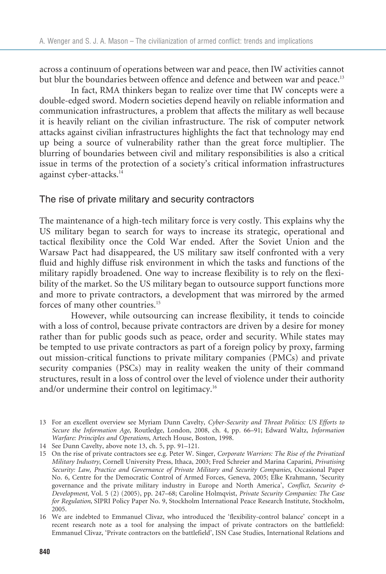across a continuum of operations between war and peace, then IW activities cannot but blur the boundaries between offence and defence and between war and peace.<sup>13</sup>

In fact, RMA thinkers began to realize over time that IW concepts were a double-edged sword. Modern societies depend heavily on reliable information and communication infrastructures, a problem that affects the military as well because it is heavily reliant on the civilian infrastructure. The risk of computer network attacks against civilian infrastructures highlights the fact that technology may end up being a source of vulnerability rather than the great force multiplier. The blurring of boundaries between civil and military responsibilities is also a critical issue in terms of the protection of a society's critical information infrastructures against cyber-attacks.<sup>14</sup>

#### The rise of private military and security contractors

The maintenance of a high-tech military force is very costly. This explains why the US military began to search for ways to increase its strategic, operational and tactical flexibility once the Cold War ended. After the Soviet Union and the Warsaw Pact had disappeared, the US military saw itself confronted with a very fluid and highly diffuse risk environment in which the tasks and functions of the military rapidly broadened. One way to increase flexibility is to rely on the flexibility of the market. So the US military began to outsource support functions more and more to private contractors, a development that was mirrored by the armed forces of many other countries.15

However, while outsourcing can increase flexibility, it tends to coincide with a loss of control, because private contractors are driven by a desire for money rather than for public goods such as peace, order and security. While states may be tempted to use private contractors as part of a foreign policy by proxy, farming out mission-critical functions to private military companies (PMCs) and private security companies (PSCs) may in reality weaken the unity of their command structures, result in a loss of control over the level of violence under their authority and/or undermine their control on legitimacy.<sup>16</sup>

<sup>13</sup> For an excellent overview see Myriam Dunn Cavelty, Cyber-Security and Threat Politics: US Efforts to Secure the Information Age, Routledge, London, 2008, ch. 4, pp. 66–91; Edward Waltz, Information Warfare: Principles and Operations, Artech House, Boston, 1998.

<sup>14</sup> See Dunn Cavelty, above note 13, ch. 5, pp. 91–121.

<sup>15</sup> On the rise of private contractors see e.g. Peter W. Singer, Corporate Warriors: The Rise of the Privatized Military Industry, Cornell University Press, Ithaca, 2003; Fred Schreier and Marina Caparini, Privatising Security: Law, Practice and Governance of Private Military and Security Companies, Occasional Paper No. 6, Centre for the Democratic Control of Armed Forces, Geneva, 2005; Elke Krahmann, 'Security governance and the private military industry in Europe and North America', Conflict, Security  $\phi$ Development, Vol. 5 (2) (2005), pp. 247–68; Caroline Holmqvist, Private Security Companies: The Case for Regulation, SIPRI Policy Paper No. 9, Stockholm International Peace Research Institute, Stockholm, 2005.

<sup>16</sup> We are indebted to Emmanuel Clivaz, who introduced the 'flexibility-control balance' concept in a recent research note as a tool for analysing the impact of private contractors on the battlefield: Emmanuel Clivaz, 'Private contractors on the battlefield', ISN Case Studies, International Relations and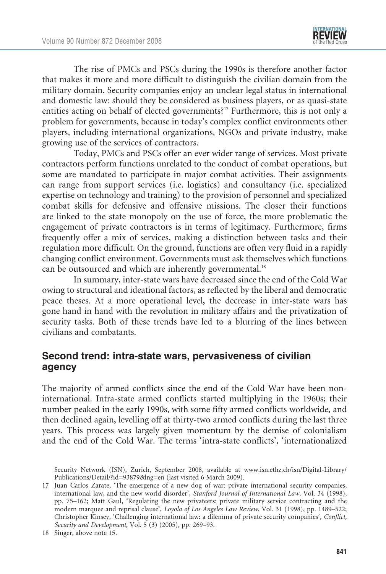The rise of PMCs and PSCs during the 1990s is therefore another factor that makes it more and more difficult to distinguish the civilian domain from the military domain. Security companies enjoy an unclear legal status in international and domestic law: should they be considered as business players, or as quasi-state entities acting on behalf of elected governments?<sup>17</sup> Furthermore, this is not only a problem for governments, because in today's complex conflict environments other players, including international organizations, NGOs and private industry, make growing use of the services of contractors.

Today, PMCs and PSCs offer an ever wider range of services. Most private contractors perform functions unrelated to the conduct of combat operations, but some are mandated to participate in major combat activities. Their assignments can range from support services (i.e. logistics) and consultancy (i.e. specialized expertise on technology and training) to the provision of personnel and specialized combat skills for defensive and offensive missions. The closer their functions are linked to the state monopoly on the use of force, the more problematic the engagement of private contractors is in terms of legitimacy. Furthermore, firms frequently offer a mix of services, making a distinction between tasks and their regulation more difficult. On the ground, functions are often very fluid in a rapidly changing conflict environment. Governments must ask themselves which functions can be outsourced and which are inherently governmental.<sup>18</sup>

In summary, inter-state wars have decreased since the end of the Cold War owing to structural and ideational factors, as reflected by the liberal and democratic peace theses. At a more operational level, the decrease in inter-state wars has gone hand in hand with the revolution in military affairs and the privatization of security tasks. Both of these trends have led to a blurring of the lines between civilians and combatants.

## Second trend: intra-state wars, pervasiveness of civilian agency

The majority of armed conflicts since the end of the Cold War have been noninternational. Intra-state armed conflicts started multiplying in the 1960s; their number peaked in the early 1990s, with some fifty armed conflicts worldwide, and then declined again, levelling off at thirty-two armed conflicts during the last three years. This process was largely given momentum by the demise of colonialism and the end of the Cold War. The terms 'intra-state conflicts', 'internationalized

Security Network (ISN), Zurich, September 2008, available at www.isn.ethz.ch/isn/Digital-Library/ Publications/Detail/?id=93879&lng=en (last visited 6 March 2009).

<sup>17</sup> Juan Carlos Zarate, 'The emergence of a new dog of war: private international security companies, international law, and the new world disorder', Stanford Journal of International Law, Vol. 34 (1998), pp. 75–162; Matt Gaul, 'Regulating the new privateers: private military service contracting and the modern marquee and reprisal clause', Loyola of Los Angeles Law Review, Vol. 31 (1998), pp. 1489–522; Christopher Kinsey, 'Challenging international law: a dilemma of private security companies', Conflict, Security and Development, Vol. 5 (3) (2005), pp. 269–93.

<sup>18</sup> Singer, above note 15.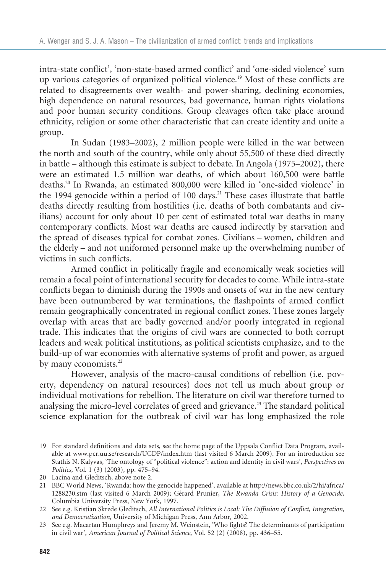intra-state conflict', 'non-state-based armed conflict' and 'one-sided violence' sum up various categories of organized political violence.19 Most of these conflicts are related to disagreements over wealth- and power-sharing, declining economies, high dependence on natural resources, bad governance, human rights violations and poor human security conditions. Group cleavages often take place around ethnicity, religion or some other characteristic that can create identity and unite a group.

In Sudan (1983–2002), 2 million people were killed in the war between the north and south of the country, while only about 55,500 of these died directly in battle – although this estimate is subject to debate. In Angola (1975–2002), there were an estimated 1.5 million war deaths, of which about 160,500 were battle deaths.20 In Rwanda, an estimated 800,000 were killed in 'one-sided violence' in the 1994 genocide within a period of  $100 \text{ days}$ .<sup>21</sup> These cases illustrate that battle deaths directly resulting from hostilities (i.e. deaths of both combatants and civilians) account for only about 10 per cent of estimated total war deaths in many contemporary conflicts. Most war deaths are caused indirectly by starvation and the spread of diseases typical for combat zones. Civilians – women, children and the elderly – and not uniformed personnel make up the overwhelming number of victims in such conflicts.

Armed conflict in politically fragile and economically weak societies will remain a focal point of international security for decades to come. While intra-state conflicts began to diminish during the 1990s and onsets of war in the new century have been outnumbered by war terminations, the flashpoints of armed conflict remain geographically concentrated in regional conflict zones. These zones largely overlap with areas that are badly governed and/or poorly integrated in regional trade. This indicates that the origins of civil wars are connected to both corrupt leaders and weak political institutions, as political scientists emphasize, and to the build-up of war economies with alternative systems of profit and power, as argued by many economists.<sup>22</sup>

However, analysis of the macro-causal conditions of rebellion (i.e. poverty, dependency on natural resources) does not tell us much about group or individual motivations for rebellion. The literature on civil war therefore turned to analysing the micro-level correlates of greed and grievance.<sup>23</sup> The standard political science explanation for the outbreak of civil war has long emphasized the role

<sup>19</sup> For standard definitions and data sets, see the home page of the Uppsala Conflict Data Program, available at www.pcr.uu.se/research/UCDP/index.htm (last visited 6 March 2009). For an introduction see Stathis N. Kalyvas, 'The ontology of "political violence": action and identity in civil wars', Perspectives on Politics, Vol. 1 (3) (2003), pp. 475–94.

<sup>20</sup> Lacina and Gleditsch, above note 2.

<sup>21</sup> BBC World News, 'Rwanda: how the genocide happened', available at http://news.bbc.co.uk/2/hi/africa/ 1288230.stm (last visited 6 March 2009); Gérard Prunier, The Rwanda Crisis: History of a Genocide, Columbia University Press, New York, 1997.

<sup>22</sup> See e.g. Kristian Skrede Gleditsch, All International Politics is Local: The Diffusion of Conflict, Integration, and Democratization, University of Michigan Press, Ann Arbor, 2002.

<sup>23</sup> See e.g. Macartan Humphreys and Jeremy M. Weinstein, 'Who fights? The determinants of participation in civil war', American Journal of Political Science, Vol. 52 (2) (2008), pp. 436–55.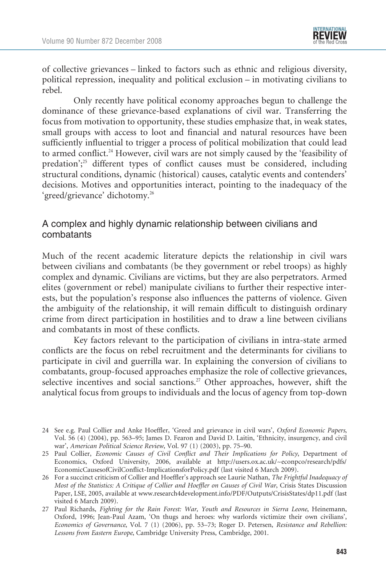

of collective grievances – linked to factors such as ethnic and religious diversity, political repression, inequality and political exclusion – in motivating civilians to rebel.

Only recently have political economy approaches begun to challenge the dominance of these grievance-based explanations of civil war. Transferring the focus from motivation to opportunity, these studies emphasize that, in weak states, small groups with access to loot and financial and natural resources have been sufficiently influential to trigger a process of political mobilization that could lead to armed conflict.<sup>24</sup> However, civil wars are not simply caused by the 'feasibility of predation'; $25$  different types of conflict causes must be considered, including structural conditions, dynamic (historical) causes, catalytic events and contenders' decisions. Motives and opportunities interact, pointing to the inadequacy of the 'greed/grievance' dichotomy.<sup>26</sup>

## A complex and highly dynamic relationship between civilians and combatants

Much of the recent academic literature depicts the relationship in civil wars between civilians and combatants (be they government or rebel troops) as highly complex and dynamic. Civilians are victims, but they are also perpetrators. Armed elites (government or rebel) manipulate civilians to further their respective interests, but the population's response also influences the patterns of violence. Given the ambiguity of the relationship, it will remain difficult to distinguish ordinary crime from direct participation in hostilities and to draw a line between civilians and combatants in most of these conflicts.

Key factors relevant to the participation of civilians in intra-state armed conflicts are the focus on rebel recruitment and the determinants for civilians to participate in civil and guerrilla war. In explaining the conversion of civilians to combatants, group-focused approaches emphasize the role of collective grievances, selective incentives and social sanctions.<sup>27</sup> Other approaches, however, shift the analytical focus from groups to individuals and the locus of agency from top-down

<sup>24</sup> See e.g. Paul Collier and Anke Hoeffler, 'Greed and grievance in civil wars', Oxford Economic Papers, Vol. 56 (4) (2004), pp. 563–95; James D. Fearon and David D. Laitin, 'Ethnicity, insurgency, and civil war', American Political Science Review, Vol. 97 (1) (2003), pp. 75–90.

<sup>25</sup> Paul Collier, Economic Causes of Civil Conflict and Their Implications for Policy, Department of Economics, Oxford University, 2006, available at http://users.ox.ac.uk/~econpco/research/pdfs/ EconomicCausesofCivilConflict-ImplicationsforPolicy.pdf (last visited 6 March 2009).

<sup>26</sup> For a succinct criticism of Collier and Hoeffler's approach see Laurie Nathan, The Frightful Inadequacy of Most of the Statistics: A Critique of Collier and Hoeffler on Causes of Civil War, Crisis States Discussion Paper, LSE, 2005, available at www.research4development.info/PDF/Outputs/CrisisStates/dp11.pdf (last visited 6 March 2009).

<sup>27</sup> Paul Richards, Fighting for the Rain Forest: War, Youth and Resources in Sierra Leone, Heinemann, Oxford, 1996; Jean-Paul Azam, 'On thugs and heroes: why warlords victimize their own civilians', Economics of Governance, Vol. 7 (1) (2006), pp. 53–73; Roger D. Petersen, Resistance and Rebellion: Lessons from Eastern Europe, Cambridge University Press, Cambridge, 2001.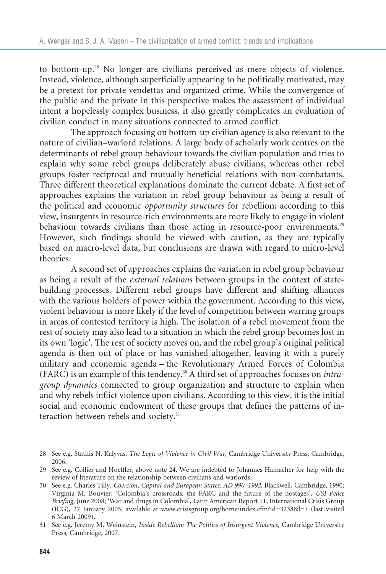to bottom-up.28 No longer are civilians perceived as mere objects of violence. Instead, violence, although superficially appearing to be politically motivated, may be a pretext for private vendettas and organized crime. While the convergence of the public and the private in this perspective makes the assessment of individual intent a hopelessly complex business, it also greatly complicates an evaluation of civilian conduct in many situations connected to armed conflict.

The approach focusing on bottom-up civilian agency is also relevant to the nature of civilian–warlord relations. A large body of scholarly work centres on the determinants of rebel group behaviour towards the civilian population and tries to explain why some rebel groups deliberately abuse civilians, whereas other rebel groups foster reciprocal and mutually beneficial relations with non-combatants. Three different theoretical explanations dominate the current debate. A first set of approaches explains the variation in rebel group behaviour as being a result of the political and economic opportunity structures for rebellion; according to this view, insurgents in resource-rich environments are more likely to engage in violent behaviour towards civilians than those acting in resource-poor environments.<sup>29</sup> However, such findings should be viewed with caution, as they are typically based on macro-level data, but conclusions are drawn with regard to micro-level theories.

A second set of approaches explains the variation in rebel group behaviour as being a result of the external relations between groups in the context of statebuilding processes. Different rebel groups have different and shifting alliances with the various holders of power within the government. According to this view, violent behaviour is more likely if the level of competition between warring groups in areas of contested territory is high. The isolation of a rebel movement from the rest of society may also lead to a situation in which the rebel group becomes lost in its own 'logic'. The rest of society moves on, and the rebel group's original political agenda is then out of place or has vanished altogether, leaving it with a purely military and economic agenda – the Revolutionary Armed Forces of Colombia (FARC) is an example of this tendency.30 A third set of approaches focuses on intragroup dynamics connected to group organization and structure to explain when and why rebels inflict violence upon civilians. According to this view, it is the initial social and economic endowment of these groups that defines the patterns of interaction between rebels and society.<sup>31</sup>

<sup>28</sup> See e.g. Stathis N. Kalyvas, The Logic of Violence in Civil War, Cambridge University Press, Cambridge, 2006.

<sup>29</sup> See e.g. Collier and Hoeffler, above note 24. We are indebted to Johannes Hamacher for help with the review of literature on the relationship between civilians and warlords.

<sup>30</sup> See e.g. Charles Tilly, Coercion, Capital and European States: AD 990–1992, Blackwell, Cambridge, 1990; Virginia M. Bouvier, 'Colombia's crossroads: the FARC and the future of the hostages', USI Peace Briefing, June 2008; 'War and drugs in Colombia', Latin American Report 11, International Crisis Group (ICG), 27 January 2005, available at www.crisisgroup.org/home/index.cfm?id=3238&l=1 (last visited 6 March 2009).

<sup>31</sup> See e.g. Jeremy M. Weinstein, Inside Rebellion: The Politics of Insurgent Violence, Cambridge University Press, Cambridge, 2007.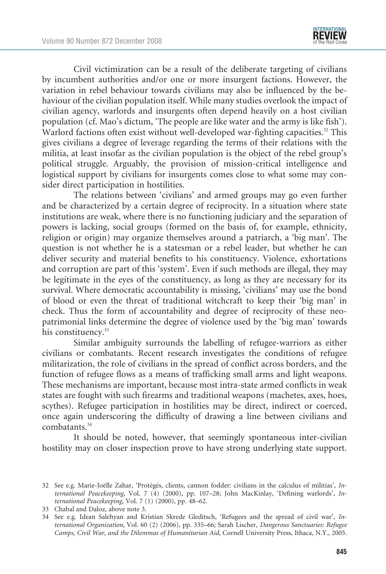Civil victimization can be a result of the deliberate targeting of civilians by incumbent authorities and/or one or more insurgent factions. However, the variation in rebel behaviour towards civilians may also be influenced by the behaviour of the civilian population itself. While many studies overlook the impact of civilian agency, warlords and insurgents often depend heavily on a host civilian population (cf. Mao's dictum, 'The people are like water and the army is like fish'). Warlord factions often exist without well-developed war-fighting capacities.<sup>32</sup> This gives civilians a degree of leverage regarding the terms of their relations with the militia, at least insofar as the civilian population is the object of the rebel group's political struggle. Arguably, the provision of mission-critical intelligence and logistical support by civilians for insurgents comes close to what some may consider direct participation in hostilities.

The relations between 'civilians' and armed groups may go even further and be characterized by a certain degree of reciprocity. In a situation where state institutions are weak, where there is no functioning judiciary and the separation of powers is lacking, social groups (formed on the basis of, for example, ethnicity, religion or origin) may organize themselves around a patriarch, a 'big man'. The question is not whether he is a statesman or a rebel leader, but whether he can deliver security and material benefits to his constituency. Violence, exhortations and corruption are part of this 'system'. Even if such methods are illegal, they may be legitimate in the eyes of the constituency, as long as they are necessary for its survival. Where democratic accountability is missing, 'civilians' may use the bond of blood or even the threat of traditional witchcraft to keep their 'big man' in check. Thus the form of accountability and degree of reciprocity of these neopatrimonial links determine the degree of violence used by the 'big man' towards his constituency.<sup>33</sup>

Similar ambiguity surrounds the labelling of refugee-warriors as either civilians or combatants. Recent research investigates the conditions of refugee militarization, the role of civilians in the spread of conflict across borders, and the function of refugee flows as a means of trafficking small arms and light weapons. These mechanisms are important, because most intra-state armed conflicts in weak states are fought with such firearms and traditional weapons (machetes, axes, hoes, scythes). Refugee participation in hostilities may be direct, indirect or coerced, once again underscoring the difficulty of drawing a line between civilians and combatants.<sup>34</sup>

It should be noted, however, that seemingly spontaneous inter-civilian hostility may on closer inspection prove to have strong underlying state support.

<sup>32</sup> See e.g. Marie-Joëlle Zahar, 'Protégés, clients, cannon fodder: civilians in the calculus of militias',  $In$ ternational Peacekeeping, Vol. 7 (4) (2000), pp. 107-28; John MacKinlay, 'Defining warlords', International Peacekeeping, Vol. 7 (1) (2000), pp. 48–62.

<sup>33</sup> Chabal and Daloz, above note 3.

<sup>34</sup> See e.g. Idean Salehyan and Kristian Skrede Gleditsch, 'Refugees and the spread of civil war', International Organization, Vol. 60 (2) (2006), pp. 335–66; Sarah Lischer, Dangerous Sanctuaries: Refugee Camps, Civil War, and the Dilemmas of Humanitarian Aid, Cornell University Press, Ithaca, N.Y., 2005.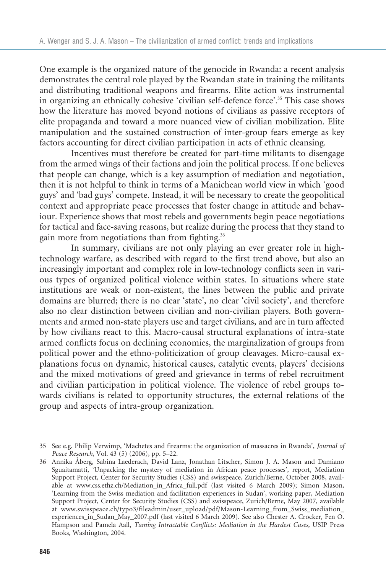One example is the organized nature of the genocide in Rwanda: a recent analysis demonstrates the central role played by the Rwandan state in training the militants and distributing traditional weapons and firearms. Elite action was instrumental in organizing an ethnically cohesive 'civilian self-defence force'.<sup>35</sup> This case shows how the literature has moved beyond notions of civilians as passive receptors of elite propaganda and toward a more nuanced view of civilian mobilization. Elite manipulation and the sustained construction of inter-group fears emerge as key factors accounting for direct civilian participation in acts of ethnic cleansing.

Incentives must therefore be created for part-time militants to disengage from the armed wings of their factions and join the political process. If one believes that people can change, which is a key assumption of mediation and negotiation, then it is not helpful to think in terms of a Manichean world view in which 'good guys' and 'bad guys' compete. Instead, it will be necessary to create the geopolitical context and appropriate peace processes that foster change in attitude and behaviour. Experience shows that most rebels and governments begin peace negotiations for tactical and face-saving reasons, but realize during the process that they stand to gain more from negotiations than from fighting.<sup>36</sup>

In summary, civilians are not only playing an ever greater role in hightechnology warfare, as described with regard to the first trend above, but also an increasingly important and complex role in low-technology conflicts seen in various types of organized political violence within states. In situations where state institutions are weak or non-existent, the lines between the public and private domains are blurred; there is no clear 'state', no clear 'civil society', and therefore also no clear distinction between civilian and non-civilian players. Both governments and armed non-state players use and target civilians, and are in turn affected by how civilians react to this. Macro-causal structural explanations of intra-state armed conflicts focus on declining economies, the marginalization of groups from political power and the ethno-politicization of group cleavages. Micro-causal explanations focus on dynamic, historical causes, catalytic events, players' decisions and the mixed motivations of greed and grievance in terms of rebel recruitment and civilian participation in political violence. The violence of rebel groups towards civilians is related to opportunity structures, the external relations of the group and aspects of intra-group organization.

<sup>35</sup> See e.g. Philip Verwimp, 'Machetes and firearms: the organization of massacres in Rwanda', Journal of Peace Research, Vol. 43 (5) (2006), pp. 5–22.

<sup>36</sup> Annika Åberg, Sabina Laederach, David Lanz, Jonathan Litscher, Simon J. A. Mason and Damiano Sguaitamatti, 'Unpacking the mystery of mediation in African peace processes', report, Mediation Support Project, Center for Security Studies (CSS) and swisspeace, Zurich/Berne, October 2008, available at www.css.ethz.ch/Mediation in Africa full.pdf (last visited 6 March 2009); Simon Mason, 'Learning from the Swiss mediation and facilitation experiences in Sudan', working paper, Mediation Support Project, Center for Security Studies (CSS) and swisspeace, Zurich/Berne, May 2007, available at www.swisspeace.ch/typo3/fileadmin/user\_upload/pdf/Mason-Learning\_from\_Swiss\_mediation\_ experiences\_in\_Sudan\_May\_2007.pdf (last visited 6 March 2009). See also Chester A. Crocker, Fen O. Hampson and Pamela Aall, Taming Intractable Conflicts: Mediation in the Hardest Cases, USIP Press Books, Washington, 2004.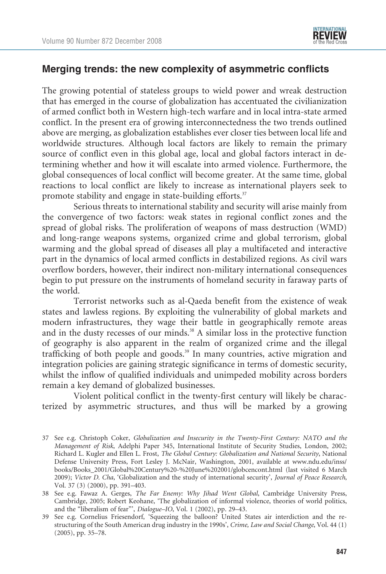## Merging trends: the new complexity of asymmetric conflicts

The growing potential of stateless groups to wield power and wreak destruction that has emerged in the course of globalization has accentuated the civilianization of armed conflict both in Western high-tech warfare and in local intra-state armed conflict. In the present era of growing interconnectedness the two trends outlined above are merging, as globalization establishes ever closer ties between local life and worldwide structures. Although local factors are likely to remain the primary source of conflict even in this global age, local and global factors interact in determining whether and how it will escalate into armed violence. Furthermore, the global consequences of local conflict will become greater. At the same time, global reactions to local conflict are likely to increase as international players seek to promote stability and engage in state-building efforts.<sup>37</sup>

Serious threats to international stability and security will arise mainly from the convergence of two factors: weak states in regional conflict zones and the spread of global risks. The proliferation of weapons of mass destruction (WMD) and long-range weapons systems, organized crime and global terrorism, global warming and the global spread of diseases all play a multifaceted and interactive part in the dynamics of local armed conflicts in destabilized regions. As civil wars overflow borders, however, their indirect non-military international consequences begin to put pressure on the instruments of homeland security in faraway parts of the world.

Terrorist networks such as al-Qaeda benefit from the existence of weak states and lawless regions. By exploiting the vulnerability of global markets and modern infrastructures, they wage their battle in geographically remote areas and in the dusty recesses of our minds.<sup>38</sup> A similar loss in the protective function of geography is also apparent in the realm of organized crime and the illegal trafficking of both people and goods.<sup>39</sup> In many countries, active migration and integration policies are gaining strategic significance in terms of domestic security, whilst the inflow of qualified individuals and unimpeded mobility across borders remain a key demand of globalized businesses.

Violent political conflict in the twenty-first century will likely be characterized by asymmetric structures, and thus will be marked by a growing

<sup>37</sup> See e.g. Christoph Coker, Globalization and Insecurity in the Twenty-First Century: NATO and the Management of Risk, Adelphi Paper 345, International Institute of Security Studies, London, 2002; Richard L. Kugler and Ellen L. Frost, The Global Century: Globalization and National Security, National Defense University Press, Fort Lesley J. McNair, Washington, 2001, available at www.ndu.edu/inss/ books/Books\_2001/Global%20Century%20-%20June%202001/globcencont.html (last visited 6 March 2009); Victor D. Cha, 'Globalization and the study of international security', Journal of Peace Research, Vol. 37 (3) (2000), pp. 391–403.

<sup>38</sup> See e.g. Fawaz A. Gerges, The Far Enemy: Why Jihad Went Global, Cambridge University Press, Cambridge, 2005; Robert Keohane, 'The globalization of informal violence, theories of world politics, and the "liberalism of fear"', Dialogue–IO, Vol. 1 (2002), pp. 29–43.

<sup>39</sup> See e.g. Cornelius Friesendorf, 'Squeezing the balloon? United States air interdiction and the restructuring of the South American drug industry in the 1990s', Crime, Law and Social Change, Vol. 44 (1) (2005), pp. 35–78.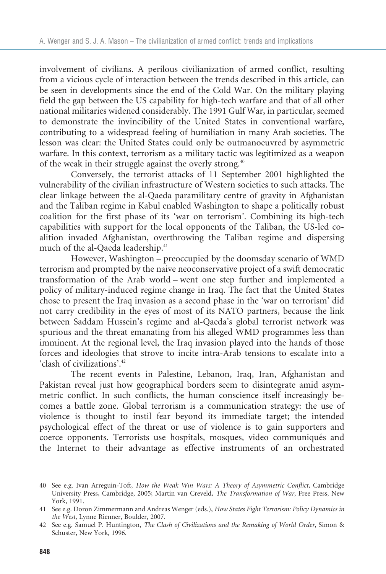involvement of civilians. A perilous civilianization of armed conflict, resulting from a vicious cycle of interaction between the trends described in this article, can be seen in developments since the end of the Cold War. On the military playing field the gap between the US capability for high-tech warfare and that of all other national militaries widened considerably. The 1991 Gulf War, in particular, seemed to demonstrate the invincibility of the United States in conventional warfare, contributing to a widespread feeling of humiliation in many Arab societies. The lesson was clear: the United States could only be outmanoeuvred by asymmetric warfare. In this context, terrorism as a military tactic was legitimized as a weapon of the weak in their struggle against the overly strong. $40$ 

Conversely, the terrorist attacks of 11 September 2001 highlighted the vulnerability of the civilian infrastructure of Western societies to such attacks. The clear linkage between the al-Qaeda paramilitary centre of gravity in Afghanistan and the Taliban regime in Kabul enabled Washington to shape a politically robust coalition for the first phase of its 'war on terrorism'. Combining its high-tech capabilities with support for the local opponents of the Taliban, the US-led coalition invaded Afghanistan, overthrowing the Taliban regime and dispersing much of the al-Qaeda leadership.<sup>41</sup>

However, Washington – preoccupied by the doomsday scenario of WMD terrorism and prompted by the naive neoconservative project of a swift democratic transformation of the Arab world – went one step further and implemented a policy of military-induced regime change in Iraq. The fact that the United States chose to present the Iraq invasion as a second phase in the 'war on terrorism' did not carry credibility in the eyes of most of its NATO partners, because the link between Saddam Hussein's regime and al-Qaeda's global terrorist network was spurious and the threat emanating from his alleged WMD programmes less than imminent. At the regional level, the Iraq invasion played into the hands of those forces and ideologies that strove to incite intra-Arab tensions to escalate into a 'clash of civilizations'.42

The recent events in Palestine, Lebanon, Iraq, Iran, Afghanistan and Pakistan reveal just how geographical borders seem to disintegrate amid asymmetric conflict. In such conflicts, the human conscience itself increasingly becomes a battle zone. Global terrorism is a communication strategy: the use of violence is thought to instil fear beyond its immediate target; the intended psychological effect of the threat or use of violence is to gain supporters and coerce opponents. Terrorists use hospitals, mosques, video communiqués and the Internet to their advantage as effective instruments of an orchestrated

<sup>40</sup> See e.g. Ivan Arreguin-Toft, How the Weak Win Wars: A Theory of Asymmetric Conflict, Cambridge University Press, Cambridge, 2005; Martin van Creveld, The Transformation of War, Free Press, New York, 1991.

<sup>41</sup> See e.g. Doron Zimmermann and Andreas Wenger (eds.), How States Fight Terrorism: Policy Dynamics in the West, Lynne Rienner, Boulder, 2007.

<sup>42</sup> See e.g. Samuel P. Huntington, The Clash of Civilizations and the Remaking of World Order, Simon & Schuster, New York, 1996.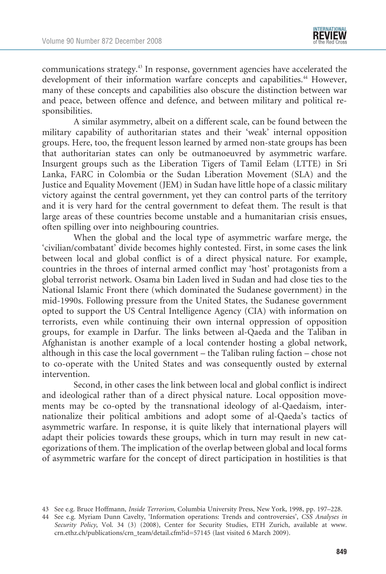communications strategy.43 In response, government agencies have accelerated the development of their information warfare concepts and capabilities.<sup>44</sup> However, many of these concepts and capabilities also obscure the distinction between war and peace, between offence and defence, and between military and political responsibilities.

A similar asymmetry, albeit on a different scale, can be found between the military capability of authoritarian states and their 'weak' internal opposition groups. Here, too, the frequent lesson learned by armed non-state groups has been that authoritarian states can only be outmanoeuvred by asymmetric warfare. Insurgent groups such as the Liberation Tigers of Tamil Eelam (LTTE) in Sri Lanka, FARC in Colombia or the Sudan Liberation Movement (SLA) and the Justice and Equality Movement (JEM) in Sudan have little hope of a classic military victory against the central government, yet they can control parts of the territory and it is very hard for the central government to defeat them. The result is that large areas of these countries become unstable and a humanitarian crisis ensues, often spilling over into neighbouring countries.

When the global and the local type of asymmetric warfare merge, the 'civilian/combatant' divide becomes highly contested. First, in some cases the link between local and global conflict is of a direct physical nature. For example, countries in the throes of internal armed conflict may 'host' protagonists from a global terrorist network. Osama bin Laden lived in Sudan and had close ties to the National Islamic Front there (which dominated the Sudanese government) in the mid-1990s. Following pressure from the United States, the Sudanese government opted to support the US Central Intelligence Agency (CIA) with information on terrorists, even while continuing their own internal oppression of opposition groups, for example in Darfur. The links between al-Qaeda and the Taliban in Afghanistan is another example of a local contender hosting a global network, although in this case the local government – the Taliban ruling faction – chose not to co-operate with the United States and was consequently ousted by external intervention.

Second, in other cases the link between local and global conflict is indirect and ideological rather than of a direct physical nature. Local opposition movements may be co-opted by the transnational ideology of al-Qaedaism, internationalize their political ambitions and adopt some of al-Qaeda's tactics of asymmetric warfare. In response, it is quite likely that international players will adapt their policies towards these groups, which in turn may result in new categorizations of them. The implication of the overlap between global and local forms of asymmetric warfare for the concept of direct participation in hostilities is that

<sup>43</sup> See e.g. Bruce Hoffmann, Inside Terrorism, Columbia University Press, New York, 1998, pp. 197–228.

<sup>44</sup> See e.g. Myriam Dunn Cavelty, 'Information operations: Trends and controversies', CSS Analyses in Security Policy, Vol. 34 (3) (2008), Center for Security Studies, ETH Zurich, available at www. crn.ethz.ch/publications/crn\_team/detail.cfm?id=57145 (last visited 6 March 2009).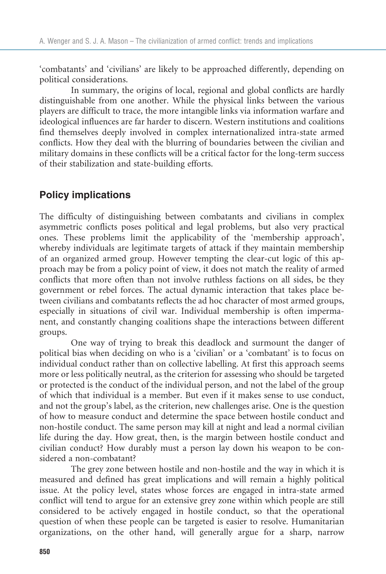'combatants' and 'civilians' are likely to be approached differently, depending on political considerations.

In summary, the origins of local, regional and global conflicts are hardly distinguishable from one another. While the physical links between the various players are difficult to trace, the more intangible links via information warfare and ideological influences are far harder to discern. Western institutions and coalitions find themselves deeply involved in complex internationalized intra-state armed conflicts. How they deal with the blurring of boundaries between the civilian and military domains in these conflicts will be a critical factor for the long-term success of their stabilization and state-building efforts.

## Policy implications

The difficulty of distinguishing between combatants and civilians in complex asymmetric conflicts poses political and legal problems, but also very practical ones. These problems limit the applicability of the 'membership approach', whereby individuals are legitimate targets of attack if they maintain membership of an organized armed group. However tempting the clear-cut logic of this approach may be from a policy point of view, it does not match the reality of armed conflicts that more often than not involve ruthless factions on all sides, be they government or rebel forces. The actual dynamic interaction that takes place between civilians and combatants reflects the ad hoc character of most armed groups, especially in situations of civil war. Individual membership is often impermanent, and constantly changing coalitions shape the interactions between different groups.

One way of trying to break this deadlock and surmount the danger of political bias when deciding on who is a 'civilian' or a 'combatant' is to focus on individual conduct rather than on collective labelling. At first this approach seems more or less politically neutral, as the criterion for assessing who should be targeted or protected is the conduct of the individual person, and not the label of the group of which that individual is a member. But even if it makes sense to use conduct, and not the group's label, as the criterion, new challenges arise. One is the question of how to measure conduct and determine the space between hostile conduct and non-hostile conduct. The same person may kill at night and lead a normal civilian life during the day. How great, then, is the margin between hostile conduct and civilian conduct? How durably must a person lay down his weapon to be considered a non-combatant?

The grey zone between hostile and non-hostile and the way in which it is measured and defined has great implications and will remain a highly political issue. At the policy level, states whose forces are engaged in intra-state armed conflict will tend to argue for an extensive grey zone within which people are still considered to be actively engaged in hostile conduct, so that the operational question of when these people can be targeted is easier to resolve. Humanitarian organizations, on the other hand, will generally argue for a sharp, narrow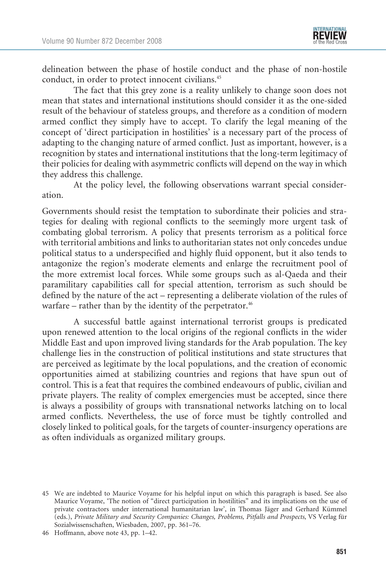delineation between the phase of hostile conduct and the phase of non-hostile conduct, in order to protect innocent civilians.<sup>45</sup>

The fact that this grey zone is a reality unlikely to change soon does not mean that states and international institutions should consider it as the one-sided result of the behaviour of stateless groups, and therefore as a condition of modern armed conflict they simply have to accept. To clarify the legal meaning of the concept of 'direct participation in hostilities' is a necessary part of the process of adapting to the changing nature of armed conflict. Just as important, however, is a recognition by states and international institutions that the long-term legitimacy of their policies for dealing with asymmetric conflicts will depend on the way in which they address this challenge.

At the policy level, the following observations warrant special consideration.

Governments should resist the temptation to subordinate their policies and strategies for dealing with regional conflicts to the seemingly more urgent task of combating global terrorism. A policy that presents terrorism as a political force with territorial ambitions and links to authoritarian states not only concedes undue political status to a underspecified and highly fluid opponent, but it also tends to antagonize the region's moderate elements and enlarge the recruitment pool of the more extremist local forces. While some groups such as al-Qaeda and their paramilitary capabilities call for special attention, terrorism as such should be defined by the nature of the act – representing a deliberate violation of the rules of warfare – rather than by the identity of the perpetrator.<sup>46</sup>

A successful battle against international terrorist groups is predicated upon renewed attention to the local origins of the regional conflicts in the wider Middle East and upon improved living standards for the Arab population. The key challenge lies in the construction of political institutions and state structures that are perceived as legitimate by the local populations, and the creation of economic opportunities aimed at stabilizing countries and regions that have spun out of control. This is a feat that requires the combined endeavours of public, civilian and private players. The reality of complex emergencies must be accepted, since there is always a possibility of groups with transnational networks latching on to local armed conflicts. Nevertheless, the use of force must be tightly controlled and closely linked to political goals, for the targets of counter-insurgency operations are as often individuals as organized military groups.

<sup>45</sup> We are indebted to Maurice Voyame for his helpful input on which this paragraph is based. See also Maurice Voyame, 'The notion of "direct participation in hostilities" and its implications on the use of private contractors under international humanitarian law', in Thomas Jäger and Gerhard Kümmel (eds.), Private Military and Security Companies: Changes, Problems, Pitfalls and Prospects, VS Verlag für Sozialwissenschaften, Wiesbaden, 2007, pp. 361–76.

<sup>46</sup> Hoffmann, above note 43, pp. 1–42.